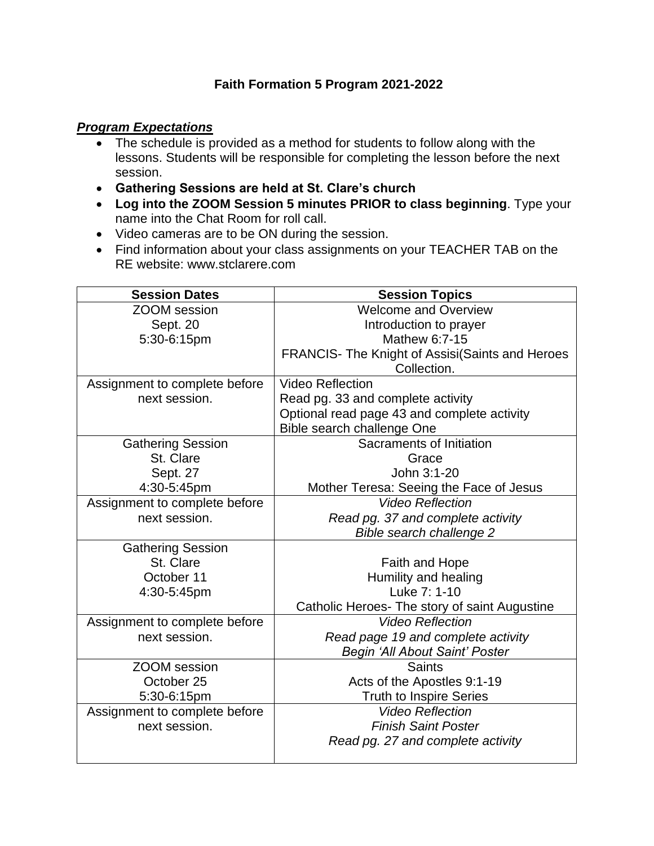## **Faith Formation 5 Program 2021-2022**

## *Program Expectations*

- The schedule is provided as a method for students to follow along with the lessons. Students will be responsible for completing the lesson before the next session.
- **Gathering Sessions are held at St. Clare's church**
- **Log into the ZOOM Session 5 minutes PRIOR to class beginning**. Type your name into the Chat Room for roll call.
- Video cameras are to be ON during the session.
- Find information about your class assignments on your TEACHER TAB on the RE website: www.stclarere.com

| <b>Session Dates</b>          | <b>Session Topics</b>                           |
|-------------------------------|-------------------------------------------------|
| <b>ZOOM</b> session           | <b>Welcome and Overview</b>                     |
| Sept. 20                      | Introduction to prayer                          |
| 5:30-6:15pm                   | Mathew 6:7-15                                   |
|                               | FRANCIS- The Knight of Assisi(Saints and Heroes |
|                               | Collection.                                     |
| Assignment to complete before | <b>Video Reflection</b>                         |
| next session.                 | Read pg. 33 and complete activity               |
|                               | Optional read page 43 and complete activity     |
|                               | Bible search challenge One                      |
| <b>Gathering Session</b>      | Sacraments of Initiation                        |
| St. Clare                     | Grace                                           |
| Sept. 27                      | John 3:1-20                                     |
| 4:30-5:45pm                   | Mother Teresa: Seeing the Face of Jesus         |
| Assignment to complete before | <b>Video Reflection</b>                         |
| next session.                 | Read pg. 37 and complete activity               |
|                               | Bible search challenge 2                        |
| <b>Gathering Session</b>      |                                                 |
| St. Clare                     | Faith and Hope                                  |
| October 11                    | Humility and healing                            |
| 4:30-5:45pm                   | Luke 7: 1-10                                    |
|                               | Catholic Heroes- The story of saint Augustine   |
| Assignment to complete before | <b>Video Reflection</b>                         |
| next session.                 | Read page 19 and complete activity              |
|                               | Begin 'All About Saint' Poster                  |
| <b>ZOOM</b> session           | <b>Saints</b>                                   |
| October 25                    | Acts of the Apostles 9:1-19                     |
| 5:30-6:15pm                   | <b>Truth to Inspire Series</b>                  |
| Assignment to complete before | <b>Video Reflection</b>                         |
| next session.                 | <b>Finish Saint Poster</b>                      |
|                               | Read pg. 27 and complete activity               |
|                               |                                                 |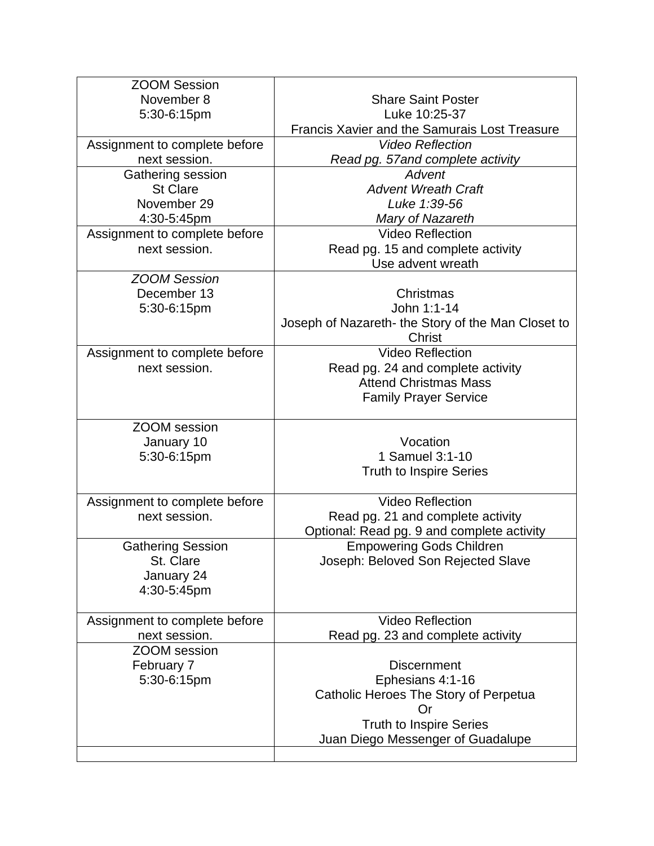| <b>ZOOM Session</b>           |                                                      |
|-------------------------------|------------------------------------------------------|
| November 8                    | <b>Share Saint Poster</b>                            |
| 5:30-6:15pm                   | Luke 10:25-37                                        |
|                               | <b>Francis Xavier and the Samurais Lost Treasure</b> |
| Assignment to complete before | <b>Video Reflection</b>                              |
| next session.                 | Read pg. 57and complete activity                     |
| Gathering session             | Advent                                               |
| <b>St Clare</b>               | <b>Advent Wreath Craft</b>                           |
| November 29                   | Luke 1:39-56                                         |
| 4:30-5:45pm                   | Mary of Nazareth                                     |
| Assignment to complete before | <b>Video Reflection</b>                              |
| next session.                 | Read pg. 15 and complete activity                    |
|                               | Use advent wreath                                    |
| <b>ZOOM Session</b>           |                                                      |
| December 13                   | Christmas                                            |
| 5:30-6:15pm                   | John 1:1-14                                          |
|                               | Joseph of Nazareth- the Story of the Man Closet to   |
|                               | Christ                                               |
| Assignment to complete before | <b>Video Reflection</b>                              |
| next session.                 | Read pg. 24 and complete activity                    |
|                               | <b>Attend Christmas Mass</b>                         |
|                               | <b>Family Prayer Service</b>                         |
|                               |                                                      |
| <b>ZOOM</b> session           |                                                      |
| January 10                    | Vocation                                             |
| 5:30-6:15pm                   | 1 Samuel 3:1-10                                      |
|                               | <b>Truth to Inspire Series</b>                       |
|                               |                                                      |
| Assignment to complete before | <b>Video Reflection</b>                              |
|                               |                                                      |
| next session.                 | Read pg. 21 and complete activity                    |
|                               | Optional: Read pg. 9 and complete activity           |
| <b>Gathering Session</b>      | <b>Empowering Gods Children</b>                      |
| St. Clare                     | Joseph: Beloved Son Rejected Slave                   |
| January 24                    |                                                      |
| 4:30-5:45pm                   |                                                      |
|                               |                                                      |
| Assignment to complete before | <b>Video Reflection</b>                              |
| next session.                 | Read pg. 23 and complete activity                    |
| <b>ZOOM</b> session           |                                                      |
| February 7                    | <b>Discernment</b>                                   |
| 5:30-6:15pm                   | Ephesians 4:1-16                                     |
|                               | Catholic Heroes The Story of Perpetua                |
|                               | Or                                                   |
|                               | <b>Truth to Inspire Series</b>                       |
|                               | Juan Diego Messenger of Guadalupe                    |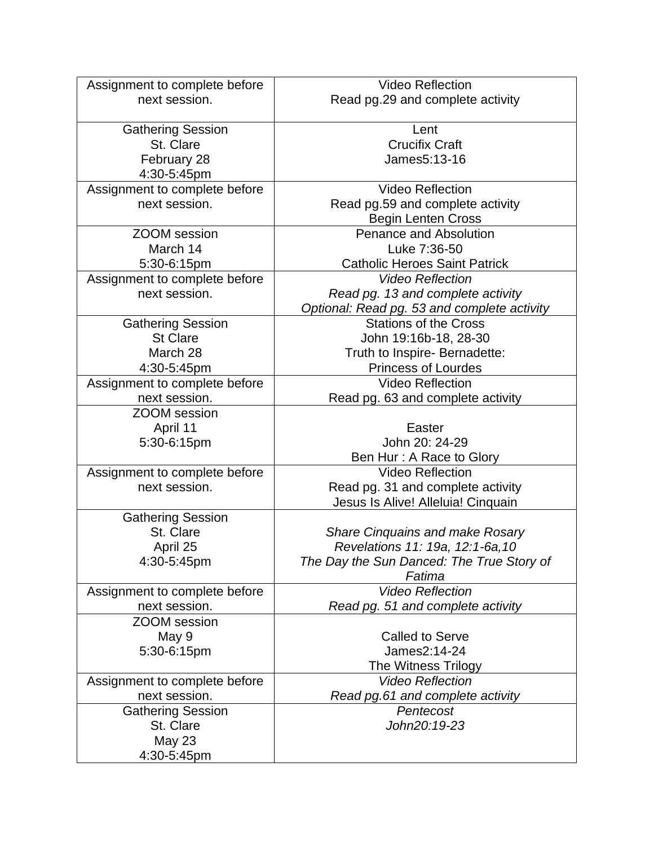| Assignment to complete before                  | <b>Video Reflection</b>                     |
|------------------------------------------------|---------------------------------------------|
| next session.                                  | Read pg.29 and complete activity            |
|                                                |                                             |
| <b>Gathering Session</b>                       | Lent                                        |
| St. Clare                                      | <b>Crucifix Craft</b>                       |
| February 28                                    | James5:13-16                                |
| 4:30-5:45pm                                    |                                             |
| Assignment to complete before                  | <b>Video Reflection</b>                     |
| next session.                                  | Read pg.59 and complete activity            |
|                                                | <b>Begin Lenten Cross</b>                   |
| <b>ZOOM</b> session                            | <b>Penance and Absolution</b>               |
| March 14                                       | Luke 7:36-50                                |
| 5:30-6:15pm                                    | <b>Catholic Heroes Saint Patrick</b>        |
| Assignment to complete before                  | <b>Video Reflection</b>                     |
| next session.                                  | Read pg. 13 and complete activity           |
|                                                | Optional: Read pg. 53 and complete activity |
| <b>Gathering Session</b>                       | <b>Stations of the Cross</b>                |
| <b>St Clare</b>                                | John 19:16b-18, 28-30                       |
| March 28                                       | Truth to Inspire- Bernadette:               |
| 4:30-5:45pm                                    | <b>Princess of Lourdes</b>                  |
| Assignment to complete before                  | <b>Video Reflection</b>                     |
| next session.                                  | Read pg. 63 and complete activity           |
| <b>ZOOM</b> session                            |                                             |
| April 11                                       | Easter                                      |
| 5:30-6:15pm                                    | John 20: 24-29                              |
|                                                | Ben Hur: A Race to Glory                    |
|                                                | <b>Video Reflection</b>                     |
| Assignment to complete before<br>next session. |                                             |
|                                                | Read pg. 31 and complete activity           |
|                                                | Jesus Is Alive! Alleluia! Cinquain          |
| <b>Gathering Session</b>                       |                                             |
| St. Clare                                      | <b>Share Cinquains and make Rosary</b>      |
| April 25                                       | Revelations 11: 19a, 12:1-6a, 10            |
| 4:30-5:45pm                                    | The Day the Sun Danced: The True Story of   |
|                                                | Fatima                                      |
| Assignment to complete before                  | <b>Video Reflection</b>                     |
| next session.                                  | Read pg. 51 and complete activity           |
| <b>ZOOM</b> session                            |                                             |
| May 9                                          | <b>Called to Serve</b>                      |
| 5:30-6:15pm                                    | James2:14-24                                |
|                                                | The Witness Trilogy                         |
| Assignment to complete before                  | <b>Video Reflection</b>                     |
| next session.                                  | Read pg.61 and complete activity            |
| <b>Gathering Session</b>                       | Pentecost                                   |
| St. Clare                                      | John20:19-23                                |
| <b>May 23</b>                                  |                                             |
| 4:30-5:45pm                                    |                                             |